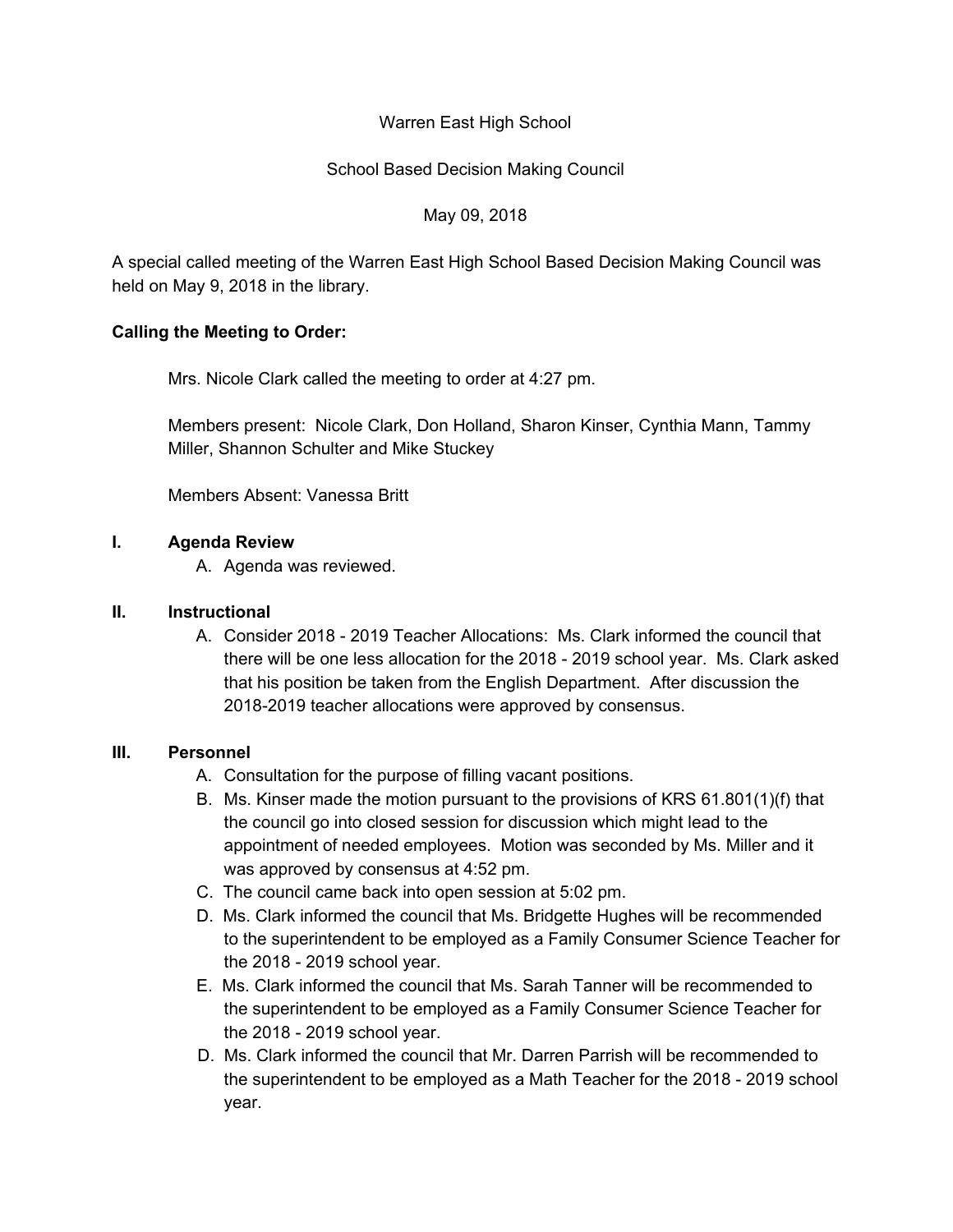# Warren East High School

# School Based Decision Making Council

#### May 09, 2018

A special called meeting of the Warren East High School Based Decision Making Council was held on May 9, 2018 in the library.

# **Calling the Meeting to Order:**

Mrs. Nicole Clark called the meeting to order at 4:27 pm.

Members present: Nicole Clark, Don Holland, Sharon Kinser, Cynthia Mann, Tammy Miller, Shannon Schulter and Mike Stuckey

Members Absent: Vanessa Britt

# **I. Agenda Review**

A. Agenda was reviewed.

#### **II. Instructional**

A. Consider 2018 - 2019 Teacher Allocations: Ms. Clark informed the council that there will be one less allocation for the 2018 - 2019 school year. Ms. Clark asked that his position be taken from the English Department. After discussion the 2018-2019 teacher allocations were approved by consensus.

#### **III. Personnel**

- A. Consultation for the purpose of filling vacant positions.
- B. Ms. Kinser made the motion pursuant to the provisions of KRS 61.801(1)(f) that the council go into closed session for discussion which might lead to the appointment of needed employees. Motion was seconded by Ms. Miller and it was approved by consensus at 4:52 pm.
- C. The council came back into open session at 5:02 pm.
- D. Ms. Clark informed the council that Ms. Bridgette Hughes will be recommended to the superintendent to be employed as a Family Consumer Science Teacher for the 2018 - 2019 school year.
- E. Ms. Clark informed the council that Ms. Sarah Tanner will be recommended to the superintendent to be employed as a Family Consumer Science Teacher for the 2018 - 2019 school year.
- D. Ms. Clark informed the council that Mr. Darren Parrish will be recommended to the superintendent to be employed as a Math Teacher for the 2018 - 2019 school year.